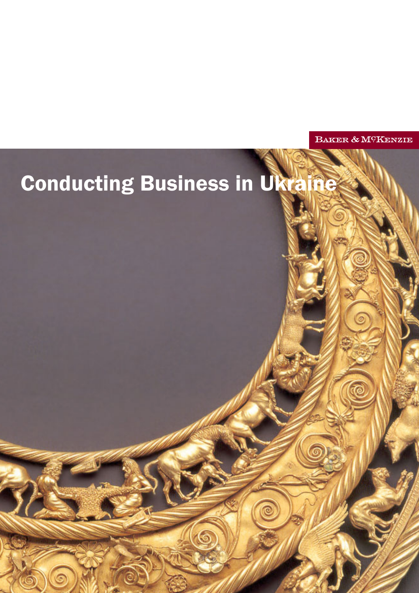BAKER & M<sup>C</sup>KENZIE

# **Conducting Business in Ukra**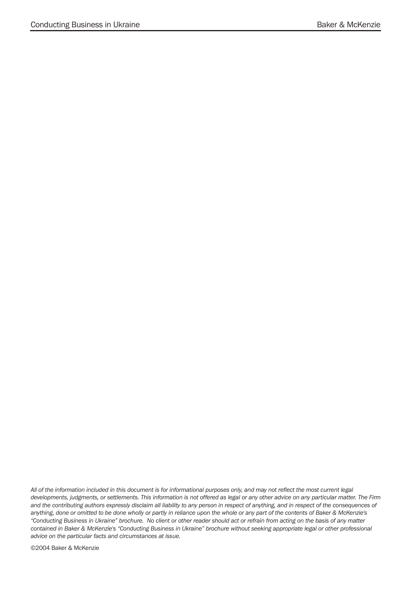*All of the information included in this document is for informational purposes only, and may not reflect the most current legal developments, judgments, or settlements. This information is not offered as legal or any other advice on any particular matter. The Firm and the contributing authors expressly disclaim all liability to any person in respect of anything, and in respect of the consequences of anything, done or omitted to be done wholly or partly in reliance upon the whole or any part of the contents of Baker & McKenzie's ìConducting Business in Ukraineî brochure. No client or other reader should act or refrain from acting on the basis of any matter contained in Baker & McKenzie's ìConducting Business in Ukraineî brochure without seeking appropriate legal or other professional advice on the particular facts and circumstances at issue.* 

©2004 Baker & McKenzie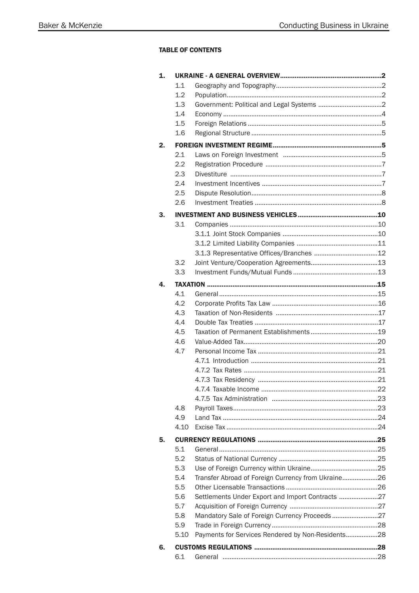# **TABLE OF CONTENTS**

| $\mathbf{1}$ . |      |                                                    |  |
|----------------|------|----------------------------------------------------|--|
|                | 1.1  |                                                    |  |
|                | 1.2  |                                                    |  |
|                | 1.3  |                                                    |  |
|                | 1.4  |                                                    |  |
|                | 1.5  |                                                    |  |
|                | 1.6  |                                                    |  |
| 2.             |      |                                                    |  |
|                | 2.1  |                                                    |  |
|                | 2.2  |                                                    |  |
|                | 2.3  |                                                    |  |
|                | 2.4  |                                                    |  |
|                | 2.5  |                                                    |  |
|                | 2.6  |                                                    |  |
| 3.             |      |                                                    |  |
|                | 3.1  |                                                    |  |
|                |      |                                                    |  |
|                |      |                                                    |  |
|                |      |                                                    |  |
|                | 3.2  |                                                    |  |
|                | 3.3  |                                                    |  |
| 4.             |      |                                                    |  |
|                | 4.1  |                                                    |  |
|                | 4.2  |                                                    |  |
|                | 4.3  |                                                    |  |
|                | 4.4  |                                                    |  |
|                | 4.5  |                                                    |  |
|                | 4.6  |                                                    |  |
|                | 4.7  |                                                    |  |
|                |      |                                                    |  |
|                |      |                                                    |  |
|                |      |                                                    |  |
|                |      |                                                    |  |
|                |      |                                                    |  |
|                | 4.8  |                                                    |  |
|                | 4.9  |                                                    |  |
|                | 4.10 |                                                    |  |
| 5.             |      |                                                    |  |
|                | 5.1  |                                                    |  |
|                | 5.2  |                                                    |  |
|                | 5.3  |                                                    |  |
|                | 5.4  | Transfer Abroad of Foreign Currency from Ukraine26 |  |
|                | 5.5  |                                                    |  |
|                | 5.6  | Settlements Under Export and Import Contracts 27   |  |
|                | 5.7  |                                                    |  |
|                | 5.8  | Mandatory Sale of Foreign Currency Proceeds27      |  |
|                | 5.9  |                                                    |  |
|                | 5.10 | Payments for Services Rendered by Non-Residents28  |  |
|                |      |                                                    |  |
| 6.             |      |                                                    |  |
|                | 6.1  |                                                    |  |
|                |      |                                                    |  |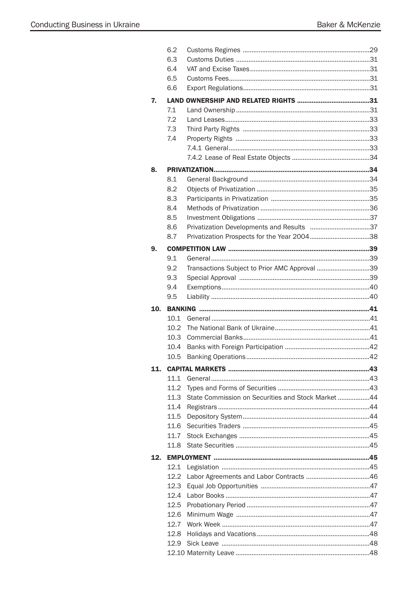|     | 6.2          |                                                    |  |
|-----|--------------|----------------------------------------------------|--|
|     | 6.3          |                                                    |  |
|     | 6.4          |                                                    |  |
|     | 6.5          |                                                    |  |
|     | 6.6          |                                                    |  |
| 7.  |              |                                                    |  |
|     | 7.1          |                                                    |  |
|     | 7.2          |                                                    |  |
|     | 7.3          |                                                    |  |
|     | 7.4          |                                                    |  |
|     |              |                                                    |  |
|     |              |                                                    |  |
| 8.  |              |                                                    |  |
|     | 8.1          |                                                    |  |
|     | 8.2          |                                                    |  |
|     | 8.3          |                                                    |  |
|     | 8.4          |                                                    |  |
|     | 8.5          |                                                    |  |
|     | 8.6          |                                                    |  |
|     | 8.7          |                                                    |  |
| 9.  |              |                                                    |  |
|     | 9.1          |                                                    |  |
|     | 9.2          | Transactions Subject to Prior AMC Approval 39      |  |
|     | 9.3          |                                                    |  |
|     | 9.4          |                                                    |  |
|     | 9.5          |                                                    |  |
|     |              |                                                    |  |
|     |              |                                                    |  |
| 10. |              |                                                    |  |
|     | 10.1         |                                                    |  |
|     | 10.2         |                                                    |  |
|     | 10.3         |                                                    |  |
|     | 10.4<br>10.5 |                                                    |  |
|     |              |                                                    |  |
| 11. |              |                                                    |  |
|     | 11.1         |                                                    |  |
|     | 11.2         |                                                    |  |
|     | 11.3         | State Commission on Securities and Stock Market 44 |  |
|     | 11.4         |                                                    |  |
|     | 11.5         |                                                    |  |
|     | 11.6         |                                                    |  |
|     | 11.7         |                                                    |  |
|     | 11.8         |                                                    |  |
| 12. |              |                                                    |  |
|     | 12.1         |                                                    |  |
|     | 12.2         |                                                    |  |
|     | 12.3         |                                                    |  |
|     | 12.4         |                                                    |  |
|     | 12.5         |                                                    |  |
|     | 12.6         |                                                    |  |
|     | 12.7         |                                                    |  |
|     | 12.8         |                                                    |  |
|     | 12.9         |                                                    |  |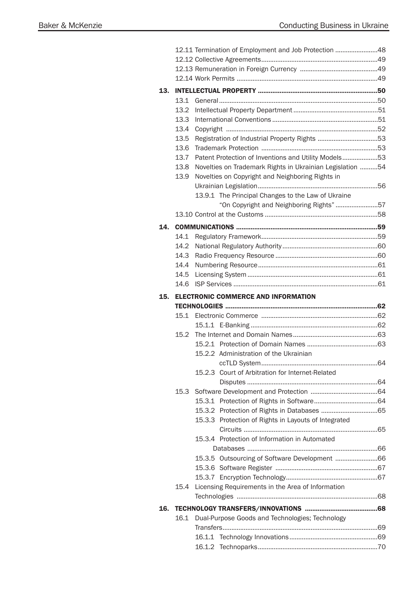|     | 12.11 Termination of Employment and Job Protection 48 |                                                           |  |  |  |
|-----|-------------------------------------------------------|-----------------------------------------------------------|--|--|--|
|     |                                                       |                                                           |  |  |  |
|     |                                                       |                                                           |  |  |  |
|     |                                                       |                                                           |  |  |  |
| 13. |                                                       |                                                           |  |  |  |
|     | 13.1                                                  |                                                           |  |  |  |
|     | 13.2                                                  |                                                           |  |  |  |
|     | 13.3                                                  |                                                           |  |  |  |
|     | 13.4                                                  |                                                           |  |  |  |
|     | 13.5                                                  |                                                           |  |  |  |
|     | 13.6                                                  |                                                           |  |  |  |
|     | 13.7                                                  | Patent Protection of Inventions and Utility Models53      |  |  |  |
|     | 13.8                                                  | Novelties on Trademark Rights in Ukrainian Legislation 54 |  |  |  |
|     | 13.9                                                  | Novelties on Copyright and Neighboring Rights in          |  |  |  |
|     |                                                       |                                                           |  |  |  |
|     |                                                       | 13.9.1 The Principal Changes to the Law of Ukraine        |  |  |  |
|     |                                                       | "On Copyright and Neighboring Rights" 57                  |  |  |  |
|     |                                                       |                                                           |  |  |  |
| 14. |                                                       |                                                           |  |  |  |
|     | 14.1                                                  |                                                           |  |  |  |
|     | 14.2                                                  |                                                           |  |  |  |
|     | 14.3                                                  |                                                           |  |  |  |
|     | 14.4                                                  |                                                           |  |  |  |
|     | 14.5                                                  |                                                           |  |  |  |
|     | 14.6                                                  |                                                           |  |  |  |
| 15. |                                                       |                                                           |  |  |  |
|     |                                                       |                                                           |  |  |  |
|     |                                                       | <b>ELECTRONIC COMMERCE AND INFORMATION</b>                |  |  |  |
|     |                                                       |                                                           |  |  |  |
|     | 15.1                                                  |                                                           |  |  |  |
|     |                                                       |                                                           |  |  |  |
|     | 15.2                                                  |                                                           |  |  |  |
|     |                                                       |                                                           |  |  |  |
|     |                                                       | 15.2.2 Administration of the Ukrainian                    |  |  |  |
|     |                                                       |                                                           |  |  |  |
|     |                                                       | Court of Arbitration for Internet-Related<br>15.2.3       |  |  |  |
|     |                                                       |                                                           |  |  |  |
|     | 15.3                                                  |                                                           |  |  |  |
|     |                                                       |                                                           |  |  |  |
|     |                                                       |                                                           |  |  |  |
|     |                                                       | 15.3.3 Protection of Rights in Layouts of Integrated      |  |  |  |
|     |                                                       |                                                           |  |  |  |
|     |                                                       | 15.3.4 Protection of Information in Automated             |  |  |  |
|     |                                                       |                                                           |  |  |  |
|     |                                                       |                                                           |  |  |  |
|     |                                                       |                                                           |  |  |  |
|     |                                                       |                                                           |  |  |  |
|     | 15.4                                                  | Licensing Requirements in the Area of Information         |  |  |  |
|     |                                                       |                                                           |  |  |  |
| 16. |                                                       |                                                           |  |  |  |
|     |                                                       | 16.1 Dual-Purpose Goods and Technologies; Technology      |  |  |  |
|     |                                                       |                                                           |  |  |  |
|     |                                                       |                                                           |  |  |  |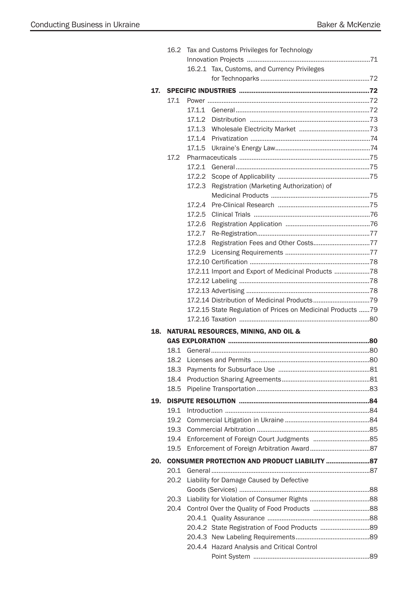|     | 16.2 | Tax and Customs Privileges for Technology                   |  |  |  |
|-----|------|-------------------------------------------------------------|--|--|--|
|     |      |                                                             |  |  |  |
|     |      | 16.2.1 Tax, Customs, and Currency Privileges                |  |  |  |
|     |      |                                                             |  |  |  |
| 17. |      |                                                             |  |  |  |
|     | 17.1 |                                                             |  |  |  |
|     |      | 17.1.1                                                      |  |  |  |
|     |      | 17.1.2                                                      |  |  |  |
|     |      |                                                             |  |  |  |
|     |      |                                                             |  |  |  |
|     |      | 17.1.5                                                      |  |  |  |
|     | 17.2 |                                                             |  |  |  |
|     |      | 17.2.1                                                      |  |  |  |
|     |      | 17.2.2                                                      |  |  |  |
|     |      | 17.2.3<br>Registration (Marketing Authorization) of         |  |  |  |
|     |      |                                                             |  |  |  |
|     |      | 17.2.4                                                      |  |  |  |
|     |      | 17.2.5                                                      |  |  |  |
|     |      | 17.2.6                                                      |  |  |  |
|     |      | 17.2.7                                                      |  |  |  |
|     |      | 17.2.8                                                      |  |  |  |
|     |      | 17.2.9                                                      |  |  |  |
|     |      |                                                             |  |  |  |
|     |      | 17.2.11 Import and Export of Medicinal Products 78          |  |  |  |
|     |      |                                                             |  |  |  |
|     |      |                                                             |  |  |  |
|     |      |                                                             |  |  |  |
|     |      | 17.2.15 State Regulation of Prices on Medicinal Products 79 |  |  |  |
|     |      |                                                             |  |  |  |
| 18. |      | <b>NATURAL RESOURCES, MINING, AND OIL &amp;</b>             |  |  |  |
|     |      |                                                             |  |  |  |
|     | 18.1 |                                                             |  |  |  |
|     |      |                                                             |  |  |  |
|     | 18.3 |                                                             |  |  |  |
|     | 18.4 |                                                             |  |  |  |
|     | 18.5 |                                                             |  |  |  |
| 19. |      |                                                             |  |  |  |
|     | 19.1 |                                                             |  |  |  |
|     | 19.2 |                                                             |  |  |  |
|     | 19.3 |                                                             |  |  |  |
|     | 19.4 |                                                             |  |  |  |
|     | 19.5 |                                                             |  |  |  |
| 20. |      |                                                             |  |  |  |
|     | 20.1 |                                                             |  |  |  |
|     | 20.2 | Liability for Damage Caused by Defective                    |  |  |  |
|     |      |                                                             |  |  |  |
|     | 20.3 |                                                             |  |  |  |
|     | 20.4 |                                                             |  |  |  |
|     |      |                                                             |  |  |  |
|     |      | 20.4.2 State Registration of Food Products 89               |  |  |  |
|     |      |                                                             |  |  |  |
|     |      | 20.4.4 Hazard Analysis and Critical Control                 |  |  |  |
|     |      |                                                             |  |  |  |
|     |      |                                                             |  |  |  |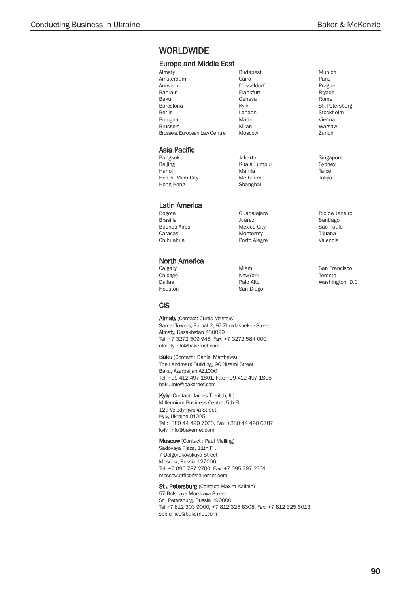# **WORLDWIDE**

## Europe and Middle East

| Almaty                        | <b>Budapest</b> |
|-------------------------------|-----------------|
| Amsterdam                     | Cairo           |
| Antwerp                       | Dusseldorf      |
| Bahrain                       | Frankfurt       |
| Baku                          | Geneva          |
| Barcelona                     | Kviv            |
| Berlin                        | London          |
| Bologna                       | Madrid          |
| <b>Brussels</b>               | Milan           |
| Brussels, European Law Centre | Moscow          |

## Asia Pacific

- Bangkok Beijing Hanoi Ho Chi Minh City Hong Kong
- Latin America
- Bogota **Brasilia** Buenos Aires Caracas Chihuahua

## North America

Calgary Chicago Dallas Houston Miami NewYork Palo Alto San Diego

Jakarta Kuala Lumpur Manila Melbourne Shanghai

Guadalajara Juarez Mexico City **Monterrey** Porto Alegre

## **CIS**

Almaty (Contact: Curtis Masters) Samal Towers, Samal 2, 97 Zholdasbekov Street Almaty, Kazakhstan 480099 Tel: +7 3272 509 945, Fax: +7 3272 584 000 almaty.info@bakernet.com

**Baku** (Contact: Daniel Matthews) The Landmark Building, 96 Nizami Street Baku, Azerbaijan AZ1000 Tel: +99 412 497 1801, Fax: +99 412 497 1805 baku.info@bakernet.com

Kyiv (Contact: James T. Hitch, III) Millennium Business Centre, 5th FI. 12a Volodymyrska Street Kyiv, Ukraine 01025 Tel :+380 44 490 7070, Fax: +380 44 490 6787 kyiv\_info@bakernet.com

Moscow (Contact : Paul Melling) Sadovaya Plaza, 11th Fl. 7 Dolgorukovskaya Street Moscow, Russia 127006, Tel: +7 095 787 2700, Fax: +7 095 787 2701 moscow.office@bakernet.com

St. Petersburg (Contact: Maxim Kalinin) 57 Bolshaya Morskaya Street St . Petersburg, Russia 190000 Tel:+7 812 303 9000, +7 812 325 8308, Fax: +7 812 325 6013 spb.office@bakernet.com

Munich Paris Prague Riyadh Rome St .Petersburg Stockholm Vienna Warsaw Zurich

Singapore Sydney Taipei Tokyo

Rio de Janeiro Santiago Sao Paulo Tijuana Valencia

San Francisco Toronto Washington, D.C .